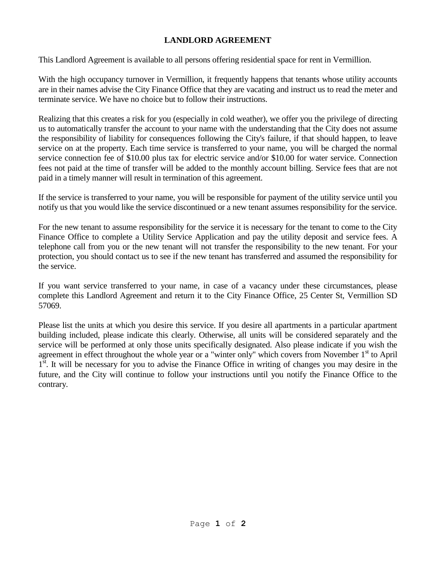## **LANDLORD AGREEMENT**

This Landlord Agreement is available to all persons offering residential space for rent in Vermillion.

With the high occupancy turnover in Vermillion, it frequently happens that tenants whose utility accounts are in their names advise the City Finance Office that they are vacating and instruct us to read the meter and terminate service. We have no choice but to follow their instructions.

Realizing that this creates a risk for you (especially in cold weather), we offer you the privilege of directing us to automatically transfer the account to your name with the understanding that the City does not assume the responsibility of liability for consequences following the City's failure, if that should happen, to leave service on at the property. Each time service is transferred to your name, you will be charged the normal service connection fee of \$10.00 plus tax for electric service and/or \$10.00 for water service. Connection fees not paid at the time of transfer will be added to the monthly account billing. Service fees that are not paid in a timely manner will result in termination of this agreement.

If the service is transferred to your name, you will be responsible for payment of the utility service until you notify us that you would like the service discontinued or a new tenant assumes responsibility for the service.

For the new tenant to assume responsibility for the service it is necessary for the tenant to come to the City Finance Office to complete a Utility Service Application and pay the utility deposit and service fees. A telephone call from you or the new tenant will not transfer the responsibility to the new tenant. For your protection, you should contact us to see if the new tenant has transferred and assumed the responsibility for the service.

If you want service transferred to your name, in case of a vacancy under these circumstances, please complete this Landlord Agreement and return it to the City Finance Office, 25 Center St, Vermillion SD 57069.

Please list the units at which you desire this service. If you desire all apartments in a particular apartment building included, please indicate this clearly. Otherwise, all units will be considered separately and the service will be performed at only those units specifically designated. Also please indicate if you wish the agreement in effect throughout the whole year or a "winter only" which covers from November  $1<sup>st</sup>$  to April 1<sup>st</sup>. It will be necessary for you to advise the Finance Office in writing of changes you may desire in the future, and the City will continue to follow your instructions until you notify the Finance Office to the contrary.